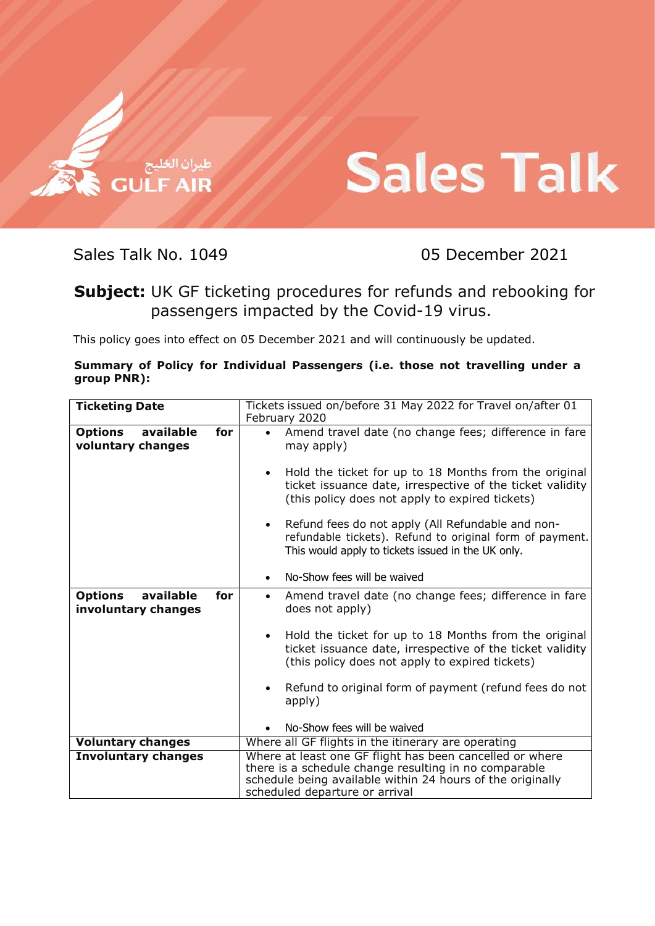

## **Sales Talk**

Sales Talk No. 1049 05 December 2021

Subject: UK GF ticketing procedures for refunds and rebooking for passengers impacted by the Covid-19 virus.

This policy goes into effect on 05 December 2021 and will continuously be updated.

| Summary of Policy for Individual Passengers (i.e. those not travelling under a |  |  |  |  |  |
|--------------------------------------------------------------------------------|--|--|--|--|--|
| group PNR):                                                                    |  |  |  |  |  |

| <b>Ticketing Date</b>                                     | Tickets issued on/before 31 May 2022 for Travel on/after 01<br>February 2020                                                                                                                                                                                                                                                                                                                                                                                    |  |  |
|-----------------------------------------------------------|-----------------------------------------------------------------------------------------------------------------------------------------------------------------------------------------------------------------------------------------------------------------------------------------------------------------------------------------------------------------------------------------------------------------------------------------------------------------|--|--|
| available<br><b>Options</b><br>for<br>voluntary changes   | Amend travel date (no change fees; difference in fare<br>$\bullet$<br>may apply)<br>Hold the ticket for up to 18 Months from the original<br>ticket issuance date, irrespective of the ticket validity<br>(this policy does not apply to expired tickets)<br>Refund fees do not apply (All Refundable and non-<br>refundable tickets). Refund to original form of payment.<br>This would apply to tickets issued in the UK only.<br>No-Show fees will be waived |  |  |
| available<br><b>Options</b><br>for<br>involuntary changes | Amend travel date (no change fees; difference in fare<br>$\bullet$<br>does not apply)<br>Hold the ticket for up to 18 Months from the original<br>ticket issuance date, irrespective of the ticket validity<br>(this policy does not apply to expired tickets)<br>Refund to original form of payment (refund fees do not<br>apply)<br>No-Show fees will be waived                                                                                               |  |  |
| <b>Voluntary changes</b>                                  | Where all GF flights in the itinerary are operating                                                                                                                                                                                                                                                                                                                                                                                                             |  |  |
| <b>Involuntary changes</b>                                | Where at least one GF flight has been cancelled or where<br>there is a schedule change resulting in no comparable<br>schedule being available within 24 hours of the originally<br>scheduled departure or arrival                                                                                                                                                                                                                                               |  |  |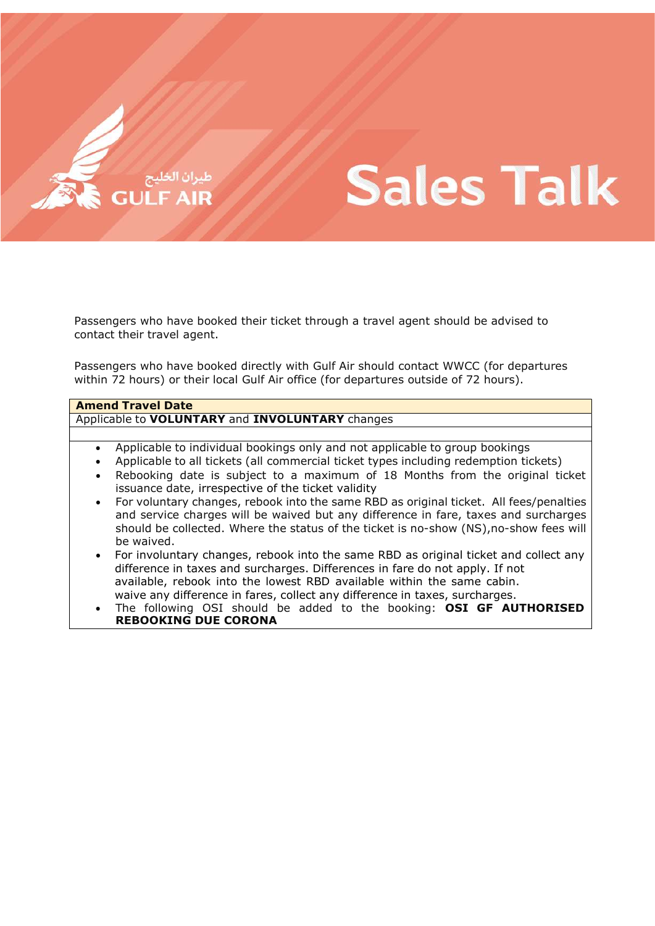

# **Sales Talk**

Passengers who have booked their ticket through a travel agent should be advised to contact their travel agent.

Passengers who have booked directly with Gulf Air should contact WWCC (for departures within 72 hours) or their local Gulf Air office (for departures outside of 72 hours).

### Amend Travel Date

Applicable to **VOLUNTARY** and **INVOLUNTARY** changes

- Applicable to individual bookings only and not applicable to group bookings
- Applicable to all tickets (all commercial ticket types including redemption tickets)
- Rebooking date is subject to a maximum of 18 Months from the original ticket issuance date, irrespective of the ticket validity
- For voluntary changes, rebook into the same RBD as original ticket. All fees/penalties and service charges will be waived but any difference in fare, taxes and surcharges should be collected. Where the status of the ticket is no-show (NS),no-show fees will be waived.
- For involuntary changes, rebook into the same RBD as original ticket and collect any difference in taxes and surcharges. Differences in fare do not apply. If not available, rebook into the lowest RBD available within the same cabin. waive any difference in fares, collect any difference in taxes, surcharges.
- The following OSI should be added to the booking: OSI GF AUTHORISED REBOOKING DUE CORONA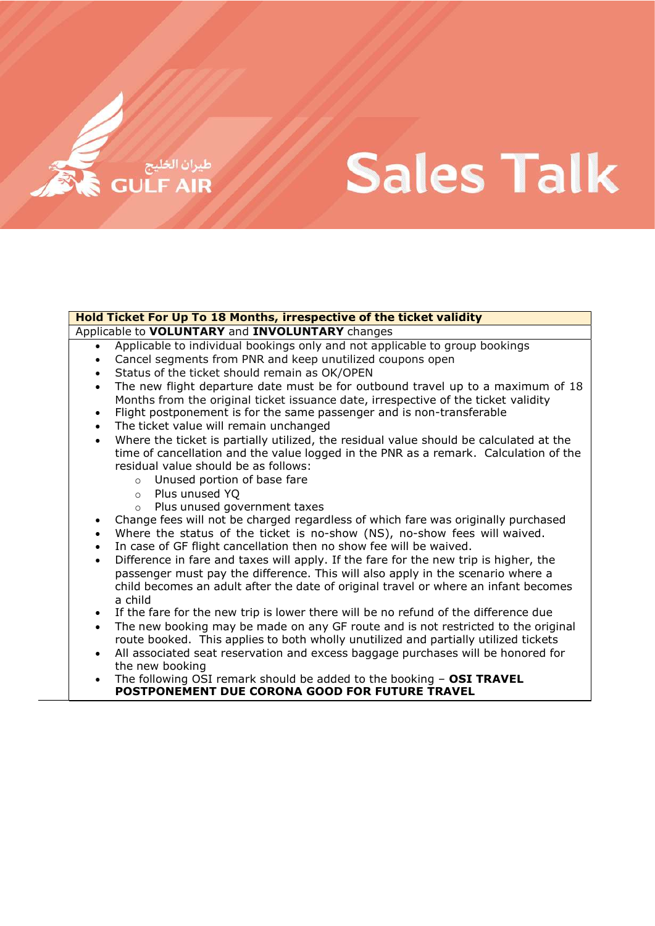## **Sales Talk**

### Hold Ticket For Up To 18 Months, irrespective of the ticket validity

Applicable to VOLUNTARY and INVOLUNTARY changes

- Applicable to individual bookings only and not applicable to group bookings
- Cancel segments from PNR and keep unutilized coupons open
- Status of the ticket should remain as OK/OPEN
- The new flight departure date must be for outbound travel up to a maximum of 18 Months from the original ticket issuance date, irrespective of the ticket validity
- Flight postponement is for the same passenger and is non-transferable
- The ticket value will remain unchanged
- Where the ticket is partially utilized, the residual value should be calculated at the time of cancellation and the value logged in the PNR as a remark. Calculation of the residual value should be as follows:
	- o Unused portion of base fare
	- o Plus unused YQ
	- o Plus unused government taxes
- Change fees will not be charged regardless of which fare was originally purchased
- Where the status of the ticket is no-show (NS), no-show fees will waived.
- In case of GF flight cancellation then no show fee will be waived.
- Difference in fare and taxes will apply. If the fare for the new trip is higher, the passenger must pay the difference. This will also apply in the scenario where a child becomes an adult after the date of original travel or where an infant becomes a child
- If the fare for the new trip is lower there will be no refund of the difference due
- The new booking may be made on any GF route and is not restricted to the original route booked. This applies to both wholly unutilized and partially utilized tickets
- All associated seat reservation and excess baggage purchases will be honored for the new booking
- The following  $\overline{OS}I$  remark should be added to the booking  $-$  OSI TRAVEL POSTPONEMENT DUE CORONA GOOD FOR FUTURE TRAVEL